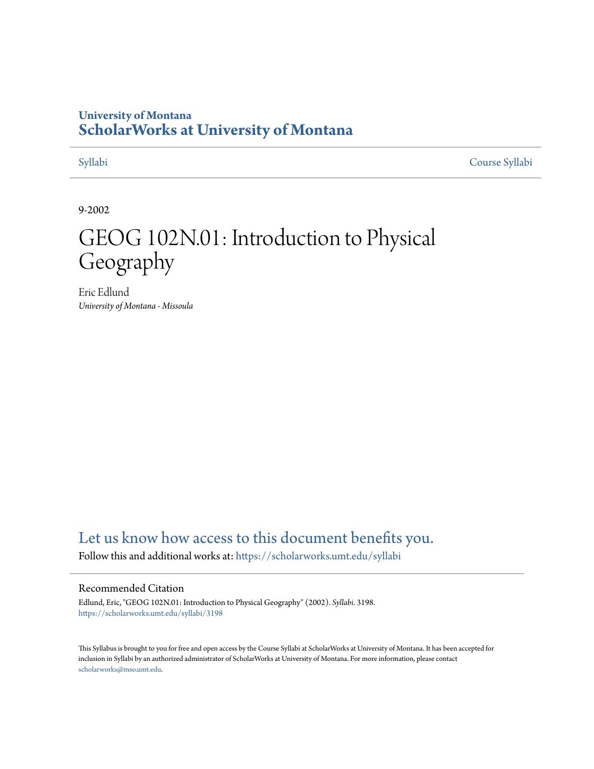# **University of Montana [ScholarWorks at University of Montana](https://scholarworks.umt.edu?utm_source=scholarworks.umt.edu%2Fsyllabi%2F3198&utm_medium=PDF&utm_campaign=PDFCoverPages)**

[Syllabi](https://scholarworks.umt.edu/syllabi?utm_source=scholarworks.umt.edu%2Fsyllabi%2F3198&utm_medium=PDF&utm_campaign=PDFCoverPages) [Course Syllabi](https://scholarworks.umt.edu/course_syllabi?utm_source=scholarworks.umt.edu%2Fsyllabi%2F3198&utm_medium=PDF&utm_campaign=PDFCoverPages)

9-2002

# GEOG 102N.01: Introduction to Physical Geography

Eric Edlund *University of Montana - Missoula*

# [Let us know how access to this document benefits you.](https://goo.gl/forms/s2rGfXOLzz71qgsB2)

Follow this and additional works at: [https://scholarworks.umt.edu/syllabi](https://scholarworks.umt.edu/syllabi?utm_source=scholarworks.umt.edu%2Fsyllabi%2F3198&utm_medium=PDF&utm_campaign=PDFCoverPages)

#### Recommended Citation

Edlund, Eric, "GEOG 102N.01: Introduction to Physical Geography" (2002). *Syllabi*. 3198. [https://scholarworks.umt.edu/syllabi/3198](https://scholarworks.umt.edu/syllabi/3198?utm_source=scholarworks.umt.edu%2Fsyllabi%2F3198&utm_medium=PDF&utm_campaign=PDFCoverPages)

This Syllabus is brought to you for free and open access by the Course Syllabi at ScholarWorks at University of Montana. It has been accepted for inclusion in Syllabi by an authorized administrator of ScholarWorks at University of Montana. For more information, please contact [scholarworks@mso.umt.edu](mailto:scholarworks@mso.umt.edu).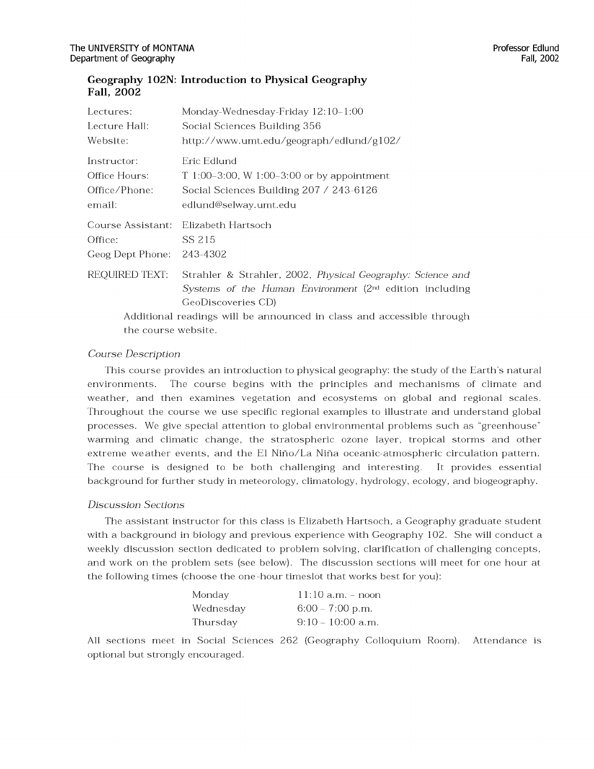### Geography 102N: Introduction to Physical Geography **Fall, 2002**

| Lectures:                                                             | Monday-Wednesday-Friday 12:10–1:00                                  |
|-----------------------------------------------------------------------|---------------------------------------------------------------------|
| Lecture Hall:                                                         | Social Sciences Building 356                                        |
| Website:                                                              | http://www.umt.edu/geograph/edlund/g102/                            |
| Instructor:                                                           | Eric Edlund                                                         |
| Office Hours:                                                         | T 1:00-3:00, W 1:00-3:00 or by appointment                          |
| Office/Phone:                                                         | Social Sciences Building 207 / 243-6126                             |
| email:                                                                | edlund@selway.umt.edu                                               |
| Course Assistant:                                                     | Elizabeth Hartsoch                                                  |
| Office:                                                               | SS 215                                                              |
| Geog Dept Phone:                                                      | 243-4302                                                            |
| REQUIRED TEXT:                                                        | Strahler & Strahler, 2002, Physical Geography: Science and          |
|                                                                       | Systems of the Human Environment (2 <sup>nd</sup> edition including |
|                                                                       | GeoDiscoveries CD)                                                  |
| Additional readings will be announced in class and accessible through |                                                                     |
| the course website.                                                   |                                                                     |

### *C ourse D escription*

This course provides an introduction to physical geography: the study of the Earth's natural environments. The course begins with the principles and mechanisms of climate and weather, and then examines vegetation and ecosystems on global and regional scales. Throughout the course we use specific regional examples to illustrate and understand global processes. We give special attention to global environmental problems such as "greenhouse" warming and climatic change, the stratospheric ozone layer, tropical storms and other extreme weather events, and the El Niño/La Niña oceanic-atmospheric circulation pattern. The course is designed to be both challenging and interesting. It provides essential background for further study in meteorology, climatology, hydrology, ecology, and biogeography.

#### *D iscussion Sections*

The assistant instructor for this class is Elizabeth Hartsoch, a Geography graduate student with a background in biology and previous experience with Geography 102. She will conduct a weekly discussion section dedicated to problem solving, clarification of challenging concepts, and work on the problem sets (see below). The discussion sections will meet for one hour at the following times (choose the one-hour timeslot that works best for you):

| Monday    | $11:10$ a.m. – noon |
|-----------|---------------------|
| Wednesday | $6:00 - 7:00$ p.m.  |
| Thursday  | $9:10-10:00$ a.m.   |

All sections meet in Social Sciences 262 (Geography Colloquium Room). Attendance is optional but strongly encouraged.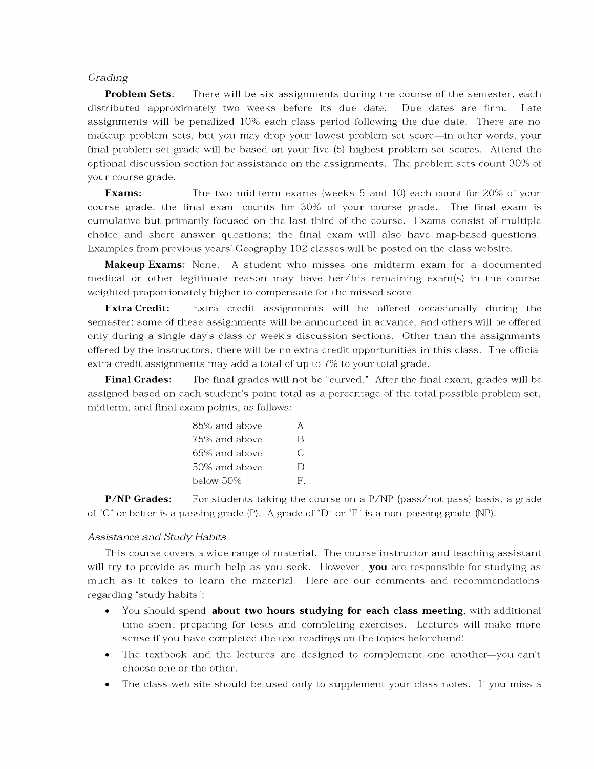#### *G rading*

**Problem Sets:** There will be six assignments during the course of the semester, each distributed approximately two weeks before its due date. Due dates are firm. Late assignments will be penalized 10% each class period following the due date. There are no makeup problem sets, but you may drop your lowest problem set score—in other words, your final problem set grade will be based on your five (5) highest problem set scores. Attend the optional discussion section for assistance on the assignments. The problem sets count 30% of your course grade.

**Exams:** The two mid-term exams (weeks 5 and 10) each count for 20% of your course grade; the final exam counts for 30% of your course grade. The final exam is cum ulative but primarily focused on the last third of the course. Exams consist of multiple choice and short answer questions; the final exam will also have map-based questions. Examples from previous years' Geography 102 classes will be posted on the class website.

**Makeup Exams:** None. A student who misses one midterm exam for a documented medical or other legitimate reason may have her/his remaining exam(s) in the course weighted proportionately higher to compensate for the missed score.

**Extra Credit:** Extra credit assignments will be offered occasionally during the semester; some of these assignments will be announced in advance, and others will be offered only during a single day's class or week's discussion sections. Other than the assignments offered by the instructors, there will be no extra credit opportunities in this class. The official extra credit assignments may add a total of up to 7% to your total grade.

**Final Grades:** The final grades will not be "curved." After the final exam, grades will be assigned based on each student's point total as a percentage of the total possible problem set, midterm, and final exam points, as follows:

| 85% and above |    |
|---------------|----|
| 75% and above | B  |
| 65% and above | C  |
| 50% and above | D  |
| below 50%     | F. |

**P/NP Grades:** For students taking the course on a  $P/NP$  (pass/not pass) basis, a grade of "C" or better is a passing grade (P). A grade of "D" or "F" is a non-passing grade (NP).

#### *A ssista n ce a n d S tu d y H abits*

This course covers a wide range of material. The course instructor and teaching assistant will try to provide as much help as you seek. However, you are responsible for studying as much as it takes to learn the material. Here are our comments and recommendations regarding "study habits":

- You should spend **about two hours studying for each class meeting**, with additional time spent preparing for tests and completing exercises. Lectures will make more sense if you have completed the text readings on the topics beforehand!
- The textbook and the lectures are designed to complement one another—you can't choose one or the other.
- The class web site should be used only to supplement your class notes. If you miss a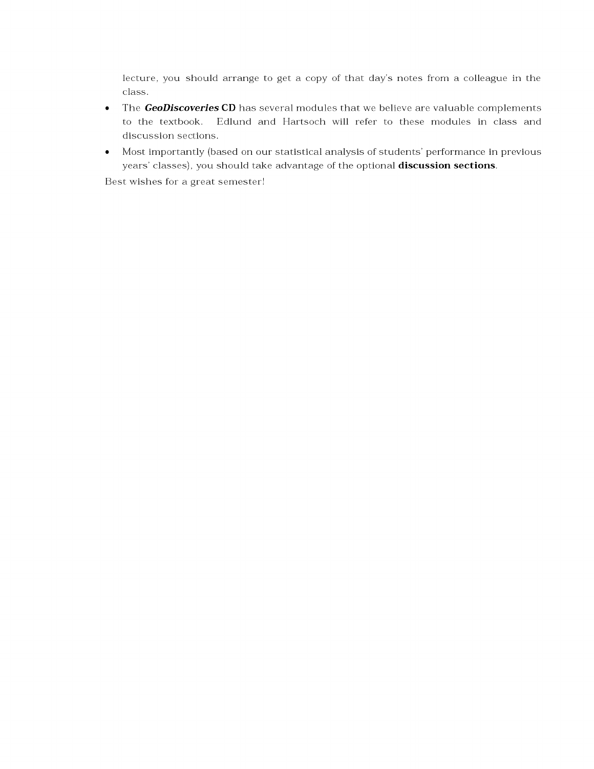lecture, you should arrange to get a copy of that day's notes from a colleague in the class.

- The **GeoDiscoveries CD** has several modules that we believe are valuable complements to the textbook. Edlund and Hartsoch will refer to these modules in class and discussion sections.
- Most importantly (based on our statistical analysis of students' performance in previous years' classes), you should take advantage of the optional **discussion sections**.

Best wishes for a great semester!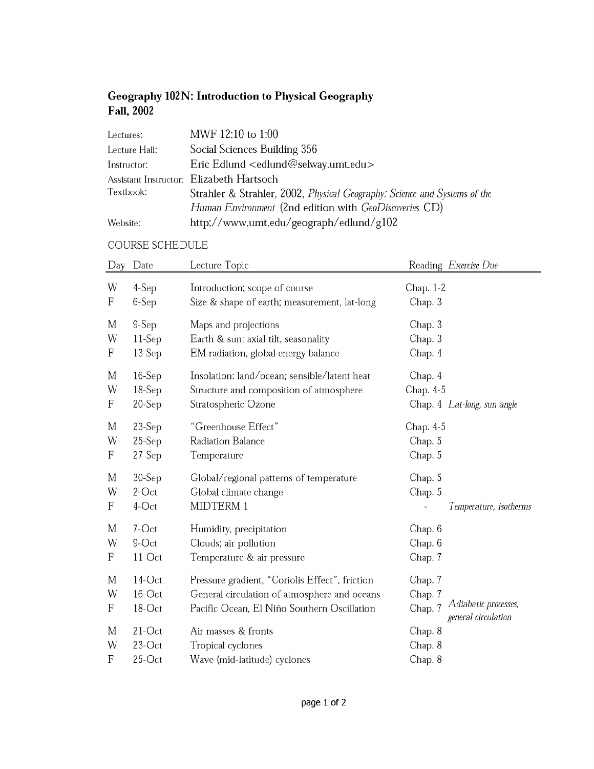# **Geography 102 N: Introduction to Physical Geography Fall, 2002**

| Lectures:     | MWF 12:10 to 1:00                                                         |
|---------------|---------------------------------------------------------------------------|
| Lecture Hall: | Social Sciences Building 356                                              |
| Instructor:   | Eric Edlund <edlund@selway.umt.edu></edlund@selway.umt.edu>               |
|               | Assistant Instructor: Elizabeth Hartsoch                                  |
| Textbook:     | Strahler & Strahler, 2002, Physical Geography: Science and Systems of the |
|               | Human Environment (2nd edition with GeoDiscoveries CD)                    |
| Website:      | http://www.umt.edu/geograph/edlund/g102                                   |

## $\sf COURSE$  SCHEDULE

| Day                       | Date                            | Lecture Topic                                                                                                                                 | Reading Exercise Due                                                         |
|---------------------------|---------------------------------|-----------------------------------------------------------------------------------------------------------------------------------------------|------------------------------------------------------------------------------|
| W                         | $4-Sep$                         | Introduction; scope of course                                                                                                                 | Chap. 1-2                                                                    |
| $\boldsymbol{\mathrm{F}}$ | $6-Sep$                         | Size & shape of earth; measurement, lat-long                                                                                                  | Chap. 3                                                                      |
| M                         | $9-Sep$                         | Maps and projections                                                                                                                          | Chap. 3                                                                      |
| W                         | $11-Sep$                        | Earth & sun; axial tilt, seasonality                                                                                                          | Chap. 3                                                                      |
| $\boldsymbol{\mathrm{F}}$ | $13-Sep$                        | EM radiation, global energy balance                                                                                                           | Chap. 4                                                                      |
| M                         | $16-Sep$                        | Insolation: land/ocean; sensible/latent heat                                                                                                  | Chap. 4                                                                      |
| W                         | $18-Sep$                        | Structure and composition of atmosphere                                                                                                       | Chap. 4-5                                                                    |
| F                         | $20-Sep$                        | Stratospheric Ozone                                                                                                                           | Chap. 4 Lat-long, sun angle                                                  |
| M                         | $23-Sep$                        | "Greenhouse Effect"                                                                                                                           | Chap. 4-5                                                                    |
| W                         | $25-Sep$                        | Radiation Balance                                                                                                                             | Chap. 5                                                                      |
| F                         | $27-Sep$                        | Temperature                                                                                                                                   | Chap. 5                                                                      |
| M                         | $30-Sep$                        | Global/regional patterns of temperature                                                                                                       | Chap. 5                                                                      |
| W                         | $2$ -Oct                        | Global climate change                                                                                                                         | Chap. 5                                                                      |
| F                         | $4$ -Oct                        | MIDTERM 1                                                                                                                                     | Temperature, isotherms                                                       |
| M                         | 7-Oct                           | Humidity, precipitation                                                                                                                       | Chap. 6                                                                      |
| W                         | 9-Oct                           | Clouds; air pollution                                                                                                                         | Chap. 6                                                                      |
| F                         | $11-Oct$                        | Temperature & air pressure                                                                                                                    | Chap. 7                                                                      |
| M<br>W<br>$\mathbf F$     | $14$ -Oct<br>16-Oct<br>$18-Oct$ | Pressure gradient, "Coriolis Effect", friction<br>General circulation of atmosphere and oceans<br>Pacific Ocean, El Niño Southern Oscillation | Chap. 7<br>Chap. 7<br>Adiabatic processes,<br>Chap. 7<br>general circulation |
| M                         | $21-Oct$                        | Air masses & fronts                                                                                                                           | Chap. 8                                                                      |
| W                         | $23-Oct$                        | Tropical cyclones                                                                                                                             | Chap. 8                                                                      |
| $\mathbf{F}$              | $25$ -Oct                       | Wave (mid-latitude) cyclones                                                                                                                  | Chap. 8                                                                      |